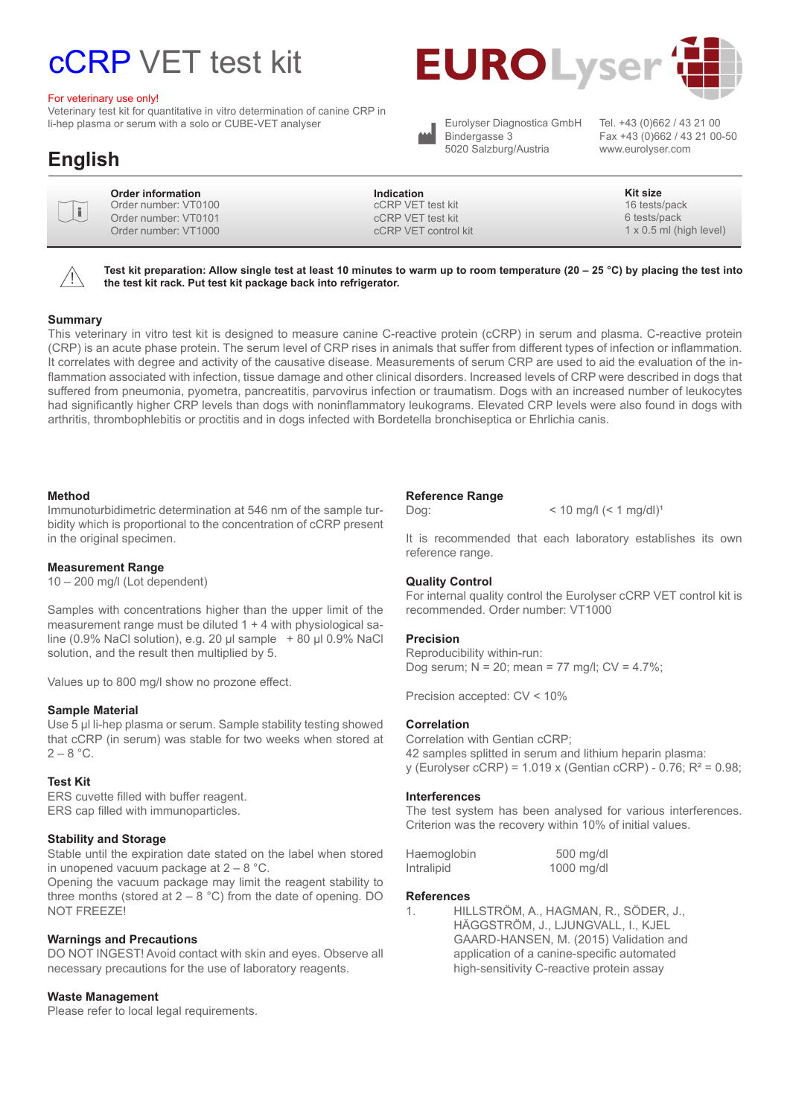# cCRP VET test kit

#### For veterinary use only!

Veterinary test kit for quantitative in vitro determination of canine CRP in li-hep plasma or serum with a solo or CUBE-VET analyser



Eurolyser Diagnostica GmbH Bindergasse 3 5020 Salzburg/Austria

Eurolyser Diagnostica GmbH Tel. +43 (0)662 / 43 21 00<br>Bindergasse 3 Fax +43 (0)662 / 43 21 00-50 www.eurolyser.com

## **English**

| ╱  |
|----|
|    |
|    |
| L. |

**Order information** Order number: VT0100 Order number: VT0101 Order number: VT1000

**Indication Kit size** cCRP VET test kit cCRP VET test kit cCRP VET control kit

16 tests/pack 6 tests/pack 1 x 0.5 ml (high level)

 $\bigwedge$ 

**Test kit preparation: Allow single test at least 10 minutes to warm up to room temperature (20 – 25 °C) by placing the test into the test kit rack. Put test kit package back into refrigerator.**

#### **Summary**

This veterinary in vitro test kit is designed to measure canine C-reactive protein (cCRP) in serum and plasma. C-reactive protein (CRP) is an acute phase protein. The serum level of CRP rises in animals that suffer from different types of infection or inflammation. It correlates with degree and activity of the causative disease. Measurements of serum CRP are used to aid the evaluation of the inflammation associated with infection, tissue damage and other clinical disorders. Increased levels of CRP were described in dogs that suffered from pneumonia, pyometra, pancreatitis, parvovirus infection or traumatism. Dogs with an increased number of leukocytes had significantly higher CRP levels than dogs with noninflammatory leukograms. Elevated CRP levels were also found in dogs with arthritis, thrombophlebitis or proctitis and in dogs infected with Bordetella bronchiseptica or Ehrlichia canis.

#### **Method**

Immunoturbidimetric determination at 546 nm of the sample turbidity which is proportional to the concentration of cCRP present in the original specimen.

#### **Measurement Range**

10 – 200 mg/l (Lot dependent)

Samples with concentrations higher than the upper limit of the measurement range must be diluted 1 + 4 with physiological saline (0.9% NaCl solution), e.g. 20 µl sample + 80 µl 0.9% NaCl solution, and the result then multiplied by 5.

Values up to 800 mg/l show no prozone effect.

#### **Sample Material**

Use 5 µl li-hep plasma or serum. Sample stability testing showed that cCRP (in serum) was stable for two weeks when stored at  $2 - 8$  °C.

#### **Test Kit**

ERS cuvette filled with buffer reagent. ERS cap filled with immunoparticles.

#### **Stability and Storage**

Stable until the expiration date stated on the label when stored in unopened vacuum package at 2 – 8 °C.

Opening the vacuum package may limit the reagent stability to three months (stored at  $2 - 8$  °C) from the date of opening. DO NOT FREEZE!

#### **Warnings and Precautions**

DO NOT INGEST! Avoid contact with skin and eyes. Observe all necessary precautions for the use of laboratory reagents.

#### **Waste Management**

Please refer to local legal requirements.

#### **Reference Range**

 $\log$ :  $\log(1 + \log |A|)$  < 10 mg/l (< 1 mg/dl)<sup>1</sup>

It is recommended that each laboratory establishes its own reference range.

#### **Quality Control**

For internal quality control the Eurolyser cCRP VET control kit is recommended. Order number: VT1000

#### **Precision**

Reproducibility within-run: Dog serum; N = 20; mean = 77 mg/l; CV = 4.7%;

Precision accepted: CV < 10%

#### **Correlation**

Correlation with Gentian cCRP; 42 samples splitted in serum and lithium heparin plasma: y (Eurolyser cCRP) = 1.019 x (Gentian cCRP) - 0.76; R² = 0.98;

#### **Interferences**

The test system has been analysed for various interferences. Criterion was the recovery within 10% of initial values.

| Haemoglobin | $500$ mg/dl  |  |
|-------------|--------------|--|
| Intralipid  | $1000$ mg/dl |  |

#### **References**

1. HILLSTRÖM, A., HAGMAN, R., SÖDER, J., HÄGGSTRÖM, J., LJUNGVALL, I., KJEL GAARD-HANSEN, M. (2015) Validation and application of a canine-specific automated high-sensitivity C-reactive protein assay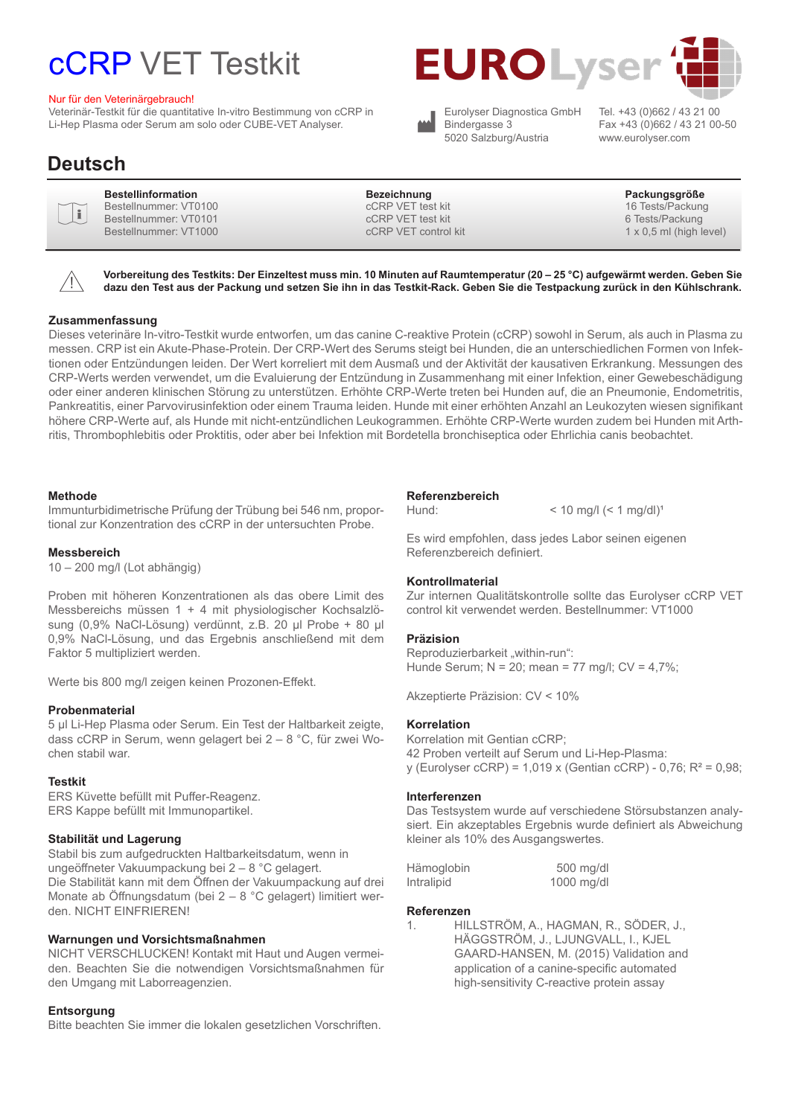# cCRP VET Testkit

#### Nur für den Veterinärgebrauch!

Veterinär-Testkit für die quantitative In-vitro Bestimmung von cCRP in Li-Hep Plasma oder Serum am solo oder CUBE-VET Analyser.





Eurolyser Diagnostica GmbH Bindergasse 3 5020 Salzburg/Austria

Tel. +43 (0)662 / 43 21 00 Fax +43 (0)662 / 43 21 00-50 www.eurolyser.com

### **Deutsch**

|   | ĩ. |   |
|---|----|---|
|   |    |   |
| └ |    | ر |
|   |    |   |

Bestellnummer: VT0100 Bestellnummer: VT0101 Bestellnummer: VT1000

**Bestellinformation Bezeichnung Packungsgröße** cCRP VET test kit cCRP VET test kit cCRP VET control kit

16 Tests/Packung

6 Tests/Packung  $1 \times 0.5$  ml (high level)



**Vorbereitung des Testkits: Der Einzeltest muss min. 10 Minuten auf Raumtemperatur (20 – 25 °C) aufgewärmt werden. Geben Sie dazu den Test aus der Packung und setzen Sie ihn in das Testkit-Rack. Geben Sie die Testpackung zurück in den Kühlschrank.**

#### **Zusammenfassung**

Dieses veterinäre In-vitro-Testkit wurde entworfen, um das canine C-reaktive Protein (cCRP) sowohl in Serum, als auch in Plasma zu messen. CRP ist ein Akute-Phase-Protein. Der CRP-Wert des Serums steigt bei Hunden, die an unterschiedlichen Formen von Infektionen oder Entzündungen leiden. Der Wert korreliert mit dem Ausmaß und der Aktivität der kausativen Erkrankung. Messungen des CRP-Werts werden verwendet, um die Evaluierung der Entzündung in Zusammenhang mit einer Infektion, einer Gewebeschädigung oder einer anderen klinischen Störung zu unterstützen. Erhöhte CRP-Werte treten bei Hunden auf, die an Pneumonie, Endometritis, Pankreatitis, einer Parvovirusinfektion oder einem Trauma leiden. Hunde mit einer erhöhten Anzahl an Leukozyten wiesen signifikant höhere CRP-Werte auf, als Hunde mit nicht-entzündlichen Leukogrammen. Erhöhte CRP-Werte wurden zudem bei Hunden mit Arthritis, Thrombophlebitis oder Proktitis, oder aber bei Infektion mit Bordetella bronchiseptica oder Ehrlichia canis beobachtet.

#### **Methode**

Immunturbidimetrische Prüfung der Trübung bei 546 nm, proportional zur Konzentration des cCRP in der untersuchten Probe.

#### **Messbereich**

10 – 200 mg/l (Lot abhängig)

Proben mit höheren Konzentrationen als das obere Limit des Messbereichs müssen 1 + 4 mit physiologischer Kochsalzlösung (0,9% NaCl-Lösung) verdünnt, z.B. 20 µl Probe + 80 µl 0,9% NaCl-Lösung, und das Ergebnis anschließend mit dem Faktor 5 multipliziert werden.

Werte bis 800 mg/l zeigen keinen Prozonen-Effekt.

#### **Probenmaterial**

5 µl Li-Hep Plasma oder Serum. Ein Test der Haltbarkeit zeigte, dass cCRP in Serum, wenn gelagert bei 2 – 8 °C, für zwei Wochen stabil war.

#### **Testkit**

ERS Küvette befüllt mit Puffer-Reagenz. ERS Kappe befüllt mit Immunopartikel.

#### **Stabilität und Lagerung**

Stabil bis zum aufgedruckten Haltbarkeitsdatum, wenn in ungeöffneter Vakuumpackung bei 2 – 8 °C gelagert. Die Stabilität kann mit dem Öffnen der Vakuumpackung auf drei Monate ab Öffnungsdatum (bei 2 – 8 °C gelagert) limitiert werden. NICHT EINFRIEREN!

#### **Warnungen und Vorsichtsmaßnahmen**

NICHT VERSCHLUCKEN! Kontakt mit Haut und Augen vermeiden. Beachten Sie die notwendigen Vorsichtsmaßnahmen für den Umgang mit Laborreagenzien.

#### **Entsorgung**

Bitte beachten Sie immer die lokalen gesetzlichen Vorschriften.

#### **Referenzbereich**

Hund:  $<$  10 mg/l  $(<$  1 mg/dl $>)$ <sup>1</sup>

Es wird empfohlen, dass jedes Labor seinen eigenen Referenzbereich definiert.

#### **Kontrollmaterial**

Zur internen Qualitätskontrolle sollte das Eurolyser cCRP VET control kit verwendet werden. Bestellnummer: VT1000

#### **Präzision**

Reproduzierbarkeit "within-run": Hunde Serum; N = 20; mean = 77 mg/l; CV = 4,7%;

Akzeptierte Präzision: CV < 10%

#### **Korrelation**

Korrelation mit Gentian cCRP; 42 Proben verteilt auf Serum und Li-Hep-Plasma: y (Eurolyser cCRP) = 1,019 x (Gentian cCRP) - 0,76; R² = 0,98;

#### **Interferenzen**

Das Testsystem wurde auf verschiedene Störsubstanzen analysiert. Ein akzeptables Ergebnis wurde definiert als Abweichung kleiner als 10% des Ausgangswertes.

| Hämoglobin | 500 mg/dl    |
|------------|--------------|
| Intralipid | $1000$ mg/dl |

#### **Referenzen**

1. HILLSTRÖM, A., HAGMAN, R., SÖDER, J., HÄGGSTRÖM, J., LJUNGVALL, I., KJEL GAARD-HANSEN, M. (2015) Validation and application of a canine-specific automated high-sensitivity C-reactive protein assay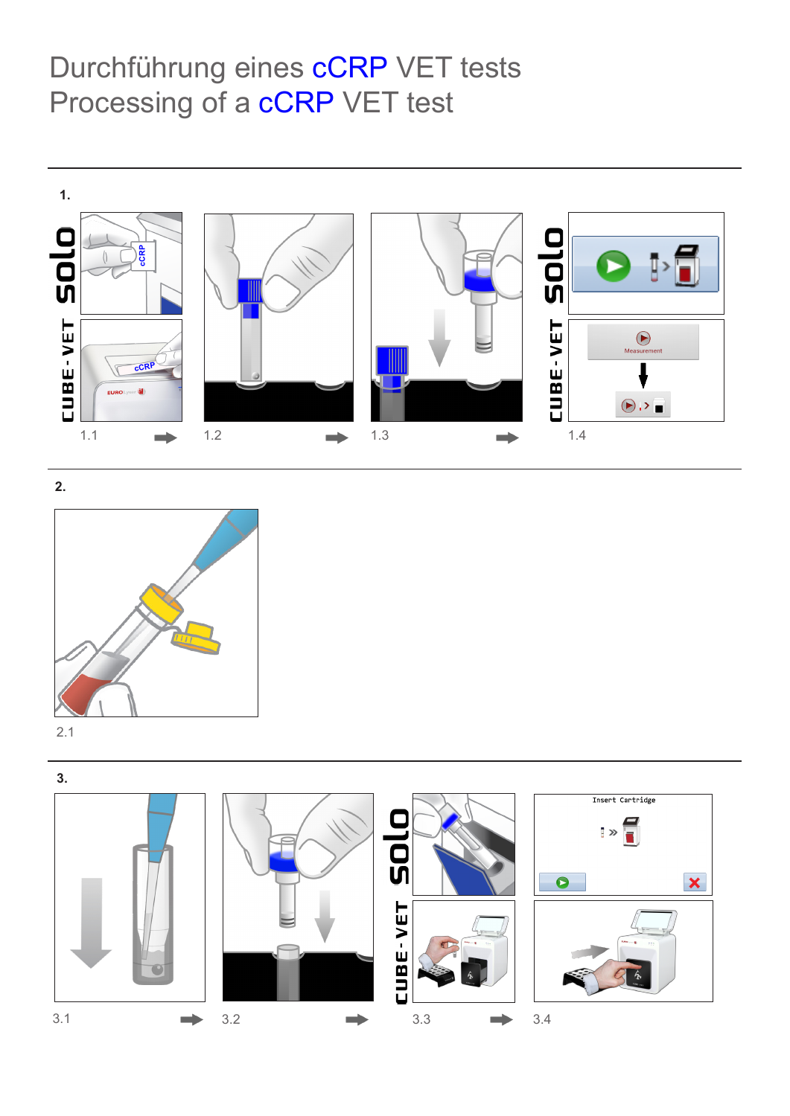# Durchführung eines **cCRP** VET tests Processing of a **cCRP** VET test



**2.**